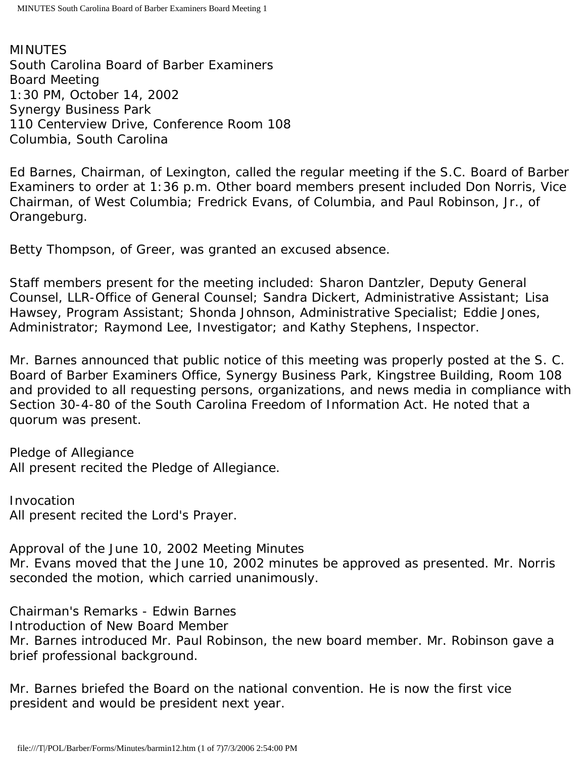MINUTES South Carolina Board of Barber Examiners Board Meeting 1:30 PM, October 14, 2002 Synergy Business Park 110 Centerview Drive, Conference Room 108 Columbia, South Carolina

Ed Barnes, Chairman, of Lexington, called the regular meeting if the S.C. Board of Barber Examiners to order at 1:36 p.m. Other board members present included Don Norris, Vice Chairman, of West Columbia; Fredrick Evans, of Columbia, and Paul Robinson, Jr., of Orangeburg.

Betty Thompson, of Greer, was granted an excused absence.

Staff members present for the meeting included: Sharon Dantzler, Deputy General Counsel, LLR-Office of General Counsel; Sandra Dickert, Administrative Assistant; Lisa Hawsey, Program Assistant; Shonda Johnson, Administrative Specialist; Eddie Jones, Administrator; Raymond Lee, Investigator; and Kathy Stephens, Inspector.

Mr. Barnes announced that public notice of this meeting was properly posted at the S. C. Board of Barber Examiners Office, Synergy Business Park, Kingstree Building, Room 108 and provided to all requesting persons, organizations, and news media in compliance with Section 30-4-80 of the South Carolina Freedom of Information Act. He noted that a quorum was present.

Pledge of Allegiance All present recited the Pledge of Allegiance.

Invocation All present recited the Lord's Prayer.

Approval of the June 10, 2002 Meeting Minutes Mr. Evans moved that the June 10, 2002 minutes be approved as presented. Mr. Norris seconded the motion, which carried unanimously.

Chairman's Remarks - Edwin Barnes

Introduction of New Board Member

Mr. Barnes introduced Mr. Paul Robinson, the new board member. Mr. Robinson gave a brief professional background.

Mr. Barnes briefed the Board on the national convention. He is now the first vice president and would be president next year.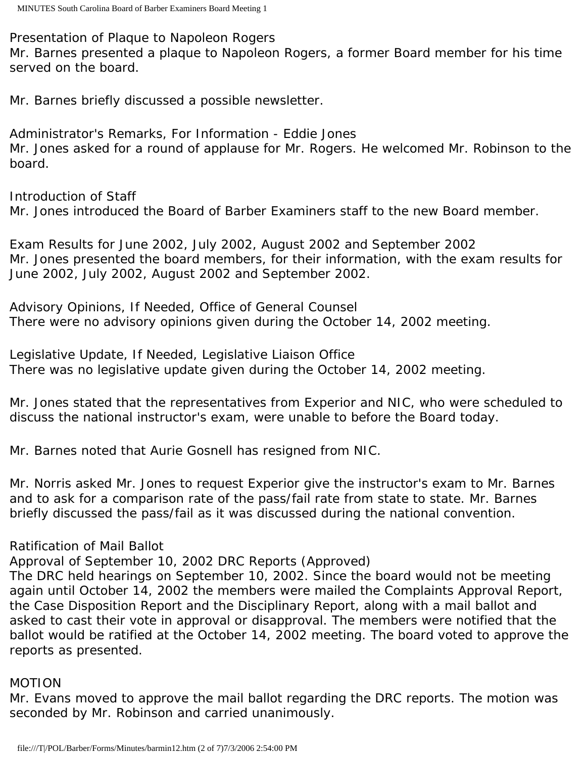Presentation of Plaque to Napoleon Rogers

Mr. Barnes presented a plaque to Napoleon Rogers, a former Board member for his time served on the board.

Mr. Barnes briefly discussed a possible newsletter.

Administrator's Remarks, For Information - Eddie Jones Mr. Jones asked for a round of applause for Mr. Rogers. He welcomed Mr. Robinson to the board.

Introduction of Staff Mr. Jones introduced the Board of Barber Examiners staff to the new Board member.

Exam Results for June 2002, July 2002, August 2002 and September 2002 Mr. Jones presented the board members, for their information, with the exam results for June 2002, July 2002, August 2002 and September 2002.

Advisory Opinions, If Needed, Office of General Counsel There were no advisory opinions given during the October 14, 2002 meeting.

Legislative Update, If Needed, Legislative Liaison Office There was no legislative update given during the October 14, 2002 meeting.

Mr. Jones stated that the representatives from Experior and NIC, who were scheduled to discuss the national instructor's exam, were unable to before the Board today.

Mr. Barnes noted that Aurie Gosnell has resigned from NIC.

Mr. Norris asked Mr. Jones to request Experior give the instructor's exam to Mr. Barnes and to ask for a comparison rate of the pass/fail rate from state to state. Mr. Barnes briefly discussed the pass/fail as it was discussed during the national convention.

Ratification of Mail Ballot

Approval of September 10, 2002 DRC Reports (Approved)

The DRC held hearings on September 10, 2002. Since the board would not be meeting again until October 14, 2002 the members were mailed the Complaints Approval Report, the Case Disposition Report and the Disciplinary Report, along with a mail ballot and asked to cast their vote in approval or disapproval. The members were notified that the ballot would be ratified at the October 14, 2002 meeting. The board voted to approve the reports as presented.

## MOTION

Mr. Evans moved to approve the mail ballot regarding the DRC reports. The motion was seconded by Mr. Robinson and carried unanimously.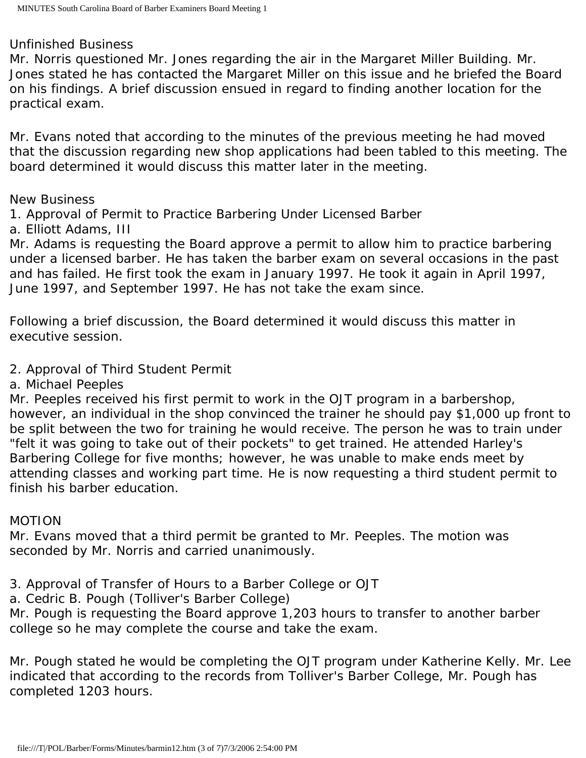### Unfinished Business

Mr. Norris questioned Mr. Jones regarding the air in the Margaret Miller Building. Mr. Jones stated he has contacted the Margaret Miller on this issue and he briefed the Board on his findings. A brief discussion ensued in regard to finding another location for the practical exam.

Mr. Evans noted that according to the minutes of the previous meeting he had moved that the discussion regarding new shop applications had been tabled to this meeting. The board determined it would discuss this matter later in the meeting.

### New Business

1. Approval of Permit to Practice Barbering Under Licensed Barber

a. Elliott Adams, III

Mr. Adams is requesting the Board approve a permit to allow him to practice barbering under a licensed barber. He has taken the barber exam on several occasions in the past and has failed. He first took the exam in January 1997. He took it again in April 1997, June 1997, and September 1997. He has not take the exam since.

Following a brief discussion, the Board determined it would discuss this matter in executive session.

- 2. Approval of Third Student Permit
- a. Michael Peeples

Mr. Peeples received his first permit to work in the OJT program in a barbershop, however, an individual in the shop convinced the trainer he should pay \$1,000 up front to be split between the two for training he would receive. The person he was to train under "felt it was going to take out of their pockets" to get trained. He attended Harley's Barbering College for five months; however, he was unable to make ends meet by attending classes and working part time. He is now requesting a third student permit to finish his barber education.

## MOTION

Mr. Evans moved that a third permit be granted to Mr. Peeples. The motion was seconded by Mr. Norris and carried unanimously.

- 3. Approval of Transfer of Hours to a Barber College or OJT
- a. Cedric B. Pough (Tolliver's Barber College)

Mr. Pough is requesting the Board approve 1,203 hours to transfer to another barber college so he may complete the course and take the exam.

Mr. Pough stated he would be completing the OJT program under Katherine Kelly. Mr. Lee indicated that according to the records from Tolliver's Barber College, Mr. Pough has completed 1203 hours.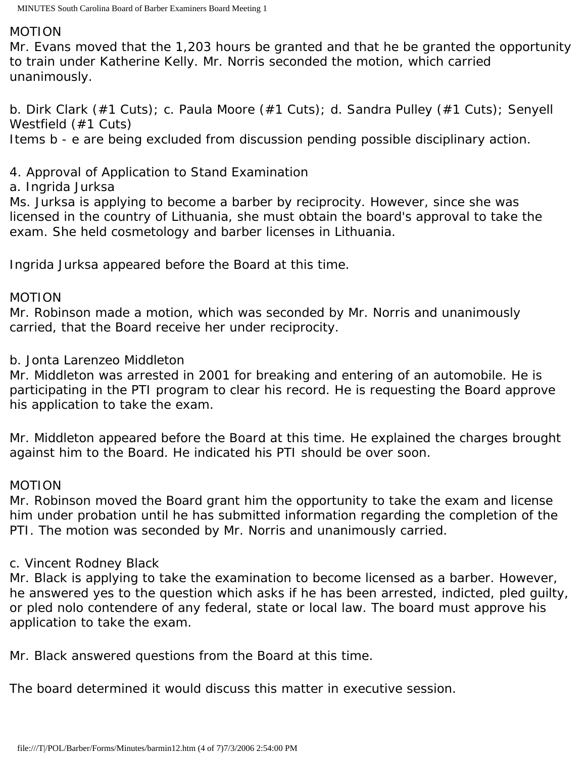#### MOTION

Mr. Evans moved that the 1,203 hours be granted and that he be granted the opportunity to train under Katherine Kelly. Mr. Norris seconded the motion, which carried unanimously.

b. Dirk Clark (#1 Cuts); c. Paula Moore (#1 Cuts); d. Sandra Pulley (#1 Cuts); Senyell Westfield (#1 Cuts) Items b - e are being excluded from discussion pending possible disciplinary action.

# 4. Approval of Application to Stand Examination

a. Ingrida Jurksa

Ms. Jurksa is applying to become a barber by reciprocity. However, since she was licensed in the country of Lithuania, she must obtain the board's approval to take the exam. She held cosmetology and barber licenses in Lithuania.

Ingrida Jurksa appeared before the Board at this time.

### MOTION

Mr. Robinson made a motion, which was seconded by Mr. Norris and unanimously carried, that the Board receive her under reciprocity.

b. Jonta Larenzeo Middleton

Mr. Middleton was arrested in 2001 for breaking and entering of an automobile. He is participating in the PTI program to clear his record. He is requesting the Board approve his application to take the exam.

Mr. Middleton appeared before the Board at this time. He explained the charges brought against him to the Board. He indicated his PTI should be over soon.

## MOTION

Mr. Robinson moved the Board grant him the opportunity to take the exam and license him under probation until he has submitted information regarding the completion of the PTI. The motion was seconded by Mr. Norris and unanimously carried.

## c. Vincent Rodney Black

Mr. Black is applying to take the examination to become licensed as a barber. However, he answered yes to the question which asks if he has been arrested, indicted, pled guilty, or pled nolo contendere of any federal, state or local law. The board must approve his application to take the exam.

Mr. Black answered questions from the Board at this time.

The board determined it would discuss this matter in executive session.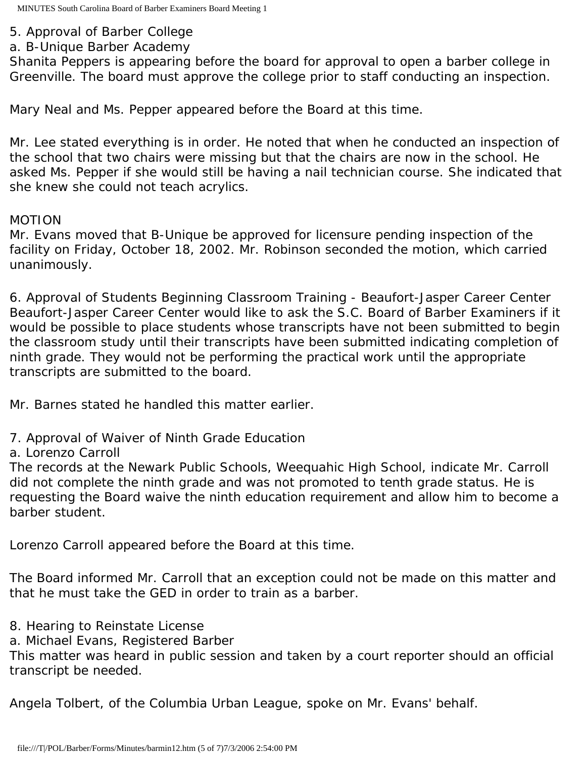- 5. Approval of Barber College
- a. B-Unique Barber Academy

Shanita Peppers is appearing before the board for approval to open a barber college in Greenville. The board must approve the college prior to staff conducting an inspection.

Mary Neal and Ms. Pepper appeared before the Board at this time.

Mr. Lee stated everything is in order. He noted that when he conducted an inspection of the school that two chairs were missing but that the chairs are now in the school. He asked Ms. Pepper if she would still be having a nail technician course. She indicated that she knew she could not teach acrylics.

## MOTION

Mr. Evans moved that B-Unique be approved for licensure pending inspection of the facility on Friday, October 18, 2002. Mr. Robinson seconded the motion, which carried unanimously.

6. Approval of Students Beginning Classroom Training - Beaufort-Jasper Career Center Beaufort-Jasper Career Center would like to ask the S.C. Board of Barber Examiners if it would be possible to place students whose transcripts have not been submitted to begin the classroom study until their transcripts have been submitted indicating completion of ninth grade. They would not be performing the practical work until the appropriate transcripts are submitted to the board.

Mr. Barnes stated he handled this matter earlier.

- 7. Approval of Waiver of Ninth Grade Education
- a. Lorenzo Carroll

The records at the Newark Public Schools, Weequahic High School, indicate Mr. Carroll did not complete the ninth grade and was not promoted to tenth grade status. He is requesting the Board waive the ninth education requirement and allow him to become a barber student.

Lorenzo Carroll appeared before the Board at this time.

The Board informed Mr. Carroll that an exception could not be made on this matter and that he must take the GED in order to train as a barber.

- 8. Hearing to Reinstate License
- a. Michael Evans, Registered Barber

This matter was heard in public session and taken by a court reporter should an official transcript be needed.

Angela Tolbert, of the Columbia Urban League, spoke on Mr. Evans' behalf.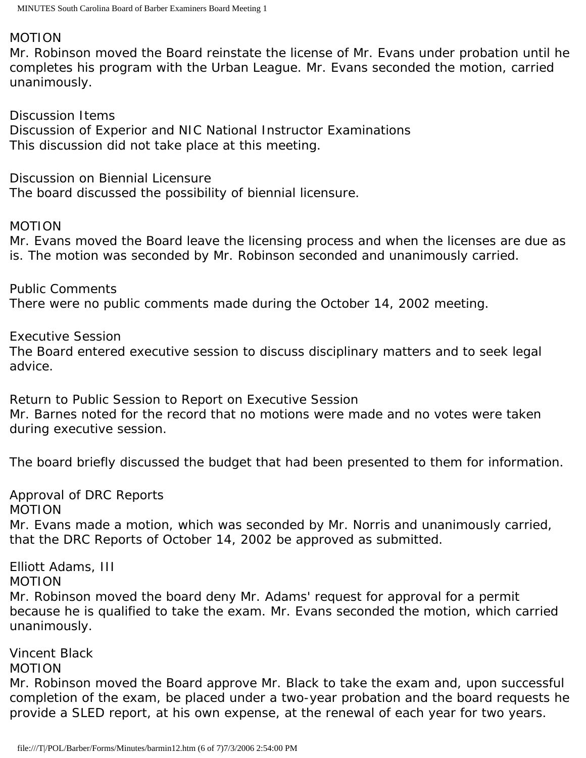# MOTION

Mr. Robinson moved the Board reinstate the license of Mr. Evans under probation until he completes his program with the Urban League. Mr. Evans seconded the motion, carried unanimously.

Discussion Items Discussion of Experior and NIC National Instructor Examinations This discussion did not take place at this meeting.

Discussion on Biennial Licensure The board discussed the possibility of biennial licensure.

### MOTION

Mr. Evans moved the Board leave the licensing process and when the licenses are due as is. The motion was seconded by Mr. Robinson seconded and unanimously carried.

Public Comments There were no public comments made during the October 14, 2002 meeting.

Executive Session

The Board entered executive session to discuss disciplinary matters and to seek legal advice.

Return to Public Session to Report on Executive Session Mr. Barnes noted for the record that no motions were made and no votes were taken during executive session.

The board briefly discussed the budget that had been presented to them for information.

Approval of DRC Reports MOTION Mr. Evans made a motion, which was seconded by Mr. Norris and unanimously carried, that the DRC Reports of October 14, 2002 be approved as submitted.

Elliott Adams, III MOTION Mr. Robinson moved the board deny Mr. Adams' request for approval for a permit because he is qualified to take the exam. Mr. Evans seconded the motion, which carried unanimously.

Vincent Black

#### MOTION

Mr. Robinson moved the Board approve Mr. Black to take the exam and, upon successful completion of the exam, be placed under a two-year probation and the board requests he provide a SLED report, at his own expense, at the renewal of each year for two years.